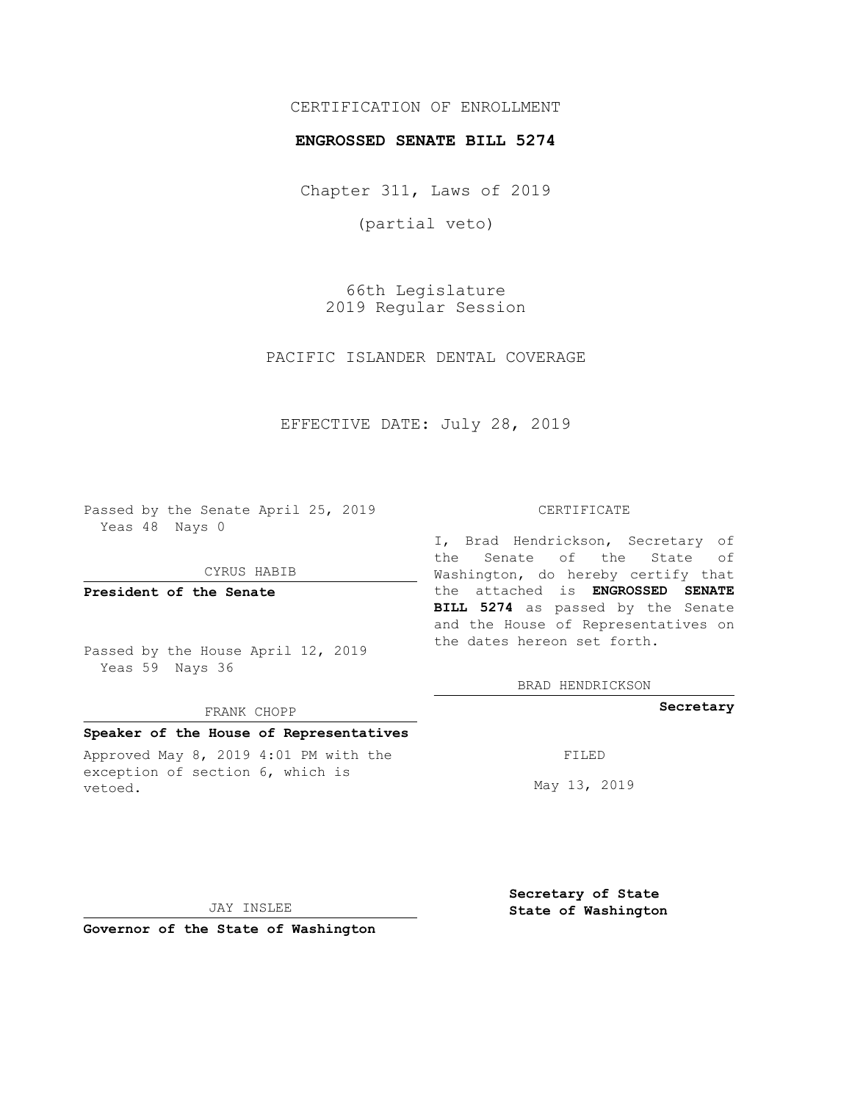# CERTIFICATION OF ENROLLMENT

#### **ENGROSSED SENATE BILL 5274**

Chapter 311, Laws of 2019

(partial veto)

66th Legislature 2019 Regular Session

PACIFIC ISLANDER DENTAL COVERAGE

EFFECTIVE DATE: July 28, 2019

Passed by the Senate April 25, 2019 Yeas 48 Nays 0

#### CYRUS HABIB

**President of the Senate**

Passed by the House April 12, 2019 Yeas 59 Nays 36

#### FRANK CHOPP

## **Speaker of the House of Representatives**

Approved May 8, 2019 4:01 PM with the exception of section 6, which is vetoed.

#### CERTIFICATE

I, Brad Hendrickson, Secretary of the Senate of the State of Washington, do hereby certify that the attached is **ENGROSSED SENATE BILL 5274** as passed by the Senate and the House of Representatives on the dates hereon set forth.

BRAD HENDRICKSON

## **Secretary**

FILED

May 13, 2019

JAY INSLEE

**Governor of the State of Washington**

**Secretary of State State of Washington**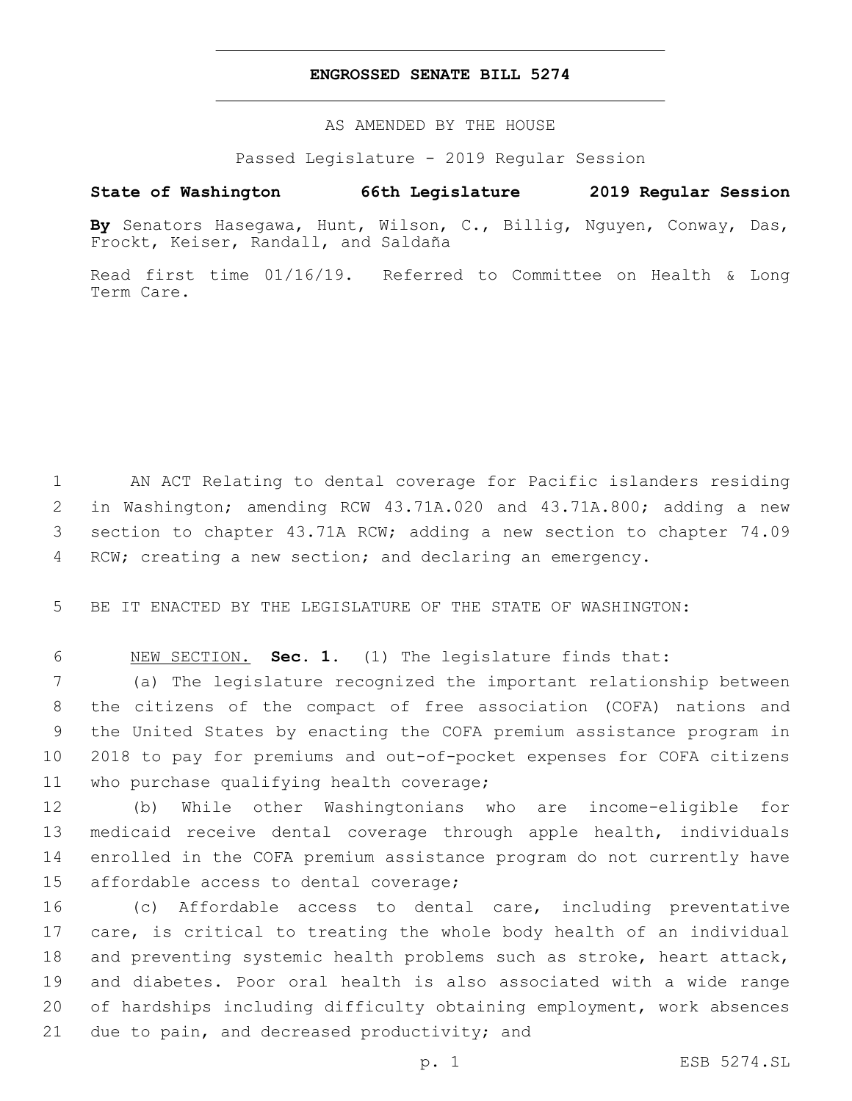## **ENGROSSED SENATE BILL 5274**

AS AMENDED BY THE HOUSE

Passed Legislature - 2019 Regular Session

# **State of Washington 66th Legislature 2019 Regular Session**

**By** Senators Hasegawa, Hunt, Wilson, C., Billig, Nguyen, Conway, Das, Frockt, Keiser, Randall, and Saldaña

Read first time 01/16/19. Referred to Committee on Health & Long Term Care.

 AN ACT Relating to dental coverage for Pacific islanders residing in Washington; amending RCW 43.71A.020 and 43.71A.800; adding a new section to chapter 43.71A RCW; adding a new section to chapter 74.09 RCW; creating a new section; and declaring an emergency.

5 BE IT ENACTED BY THE LEGISLATURE OF THE STATE OF WASHINGTON:

6 NEW SECTION. **Sec. 1.** (1) The legislature finds that:

 (a) The legislature recognized the important relationship between the citizens of the compact of free association (COFA) nations and the United States by enacting the COFA premium assistance program in 2018 to pay for premiums and out-of-pocket expenses for COFA citizens 11 who purchase qualifying health coverage;

 (b) While other Washingtonians who are income-eligible for medicaid receive dental coverage through apple health, individuals enrolled in the COFA premium assistance program do not currently have 15 affordable access to dental coverage;

 (c) Affordable access to dental care, including preventative care, is critical to treating the whole body health of an individual and preventing systemic health problems such as stroke, heart attack, and diabetes. Poor oral health is also associated with a wide range of hardships including difficulty obtaining employment, work absences 21 due to pain, and decreased productivity; and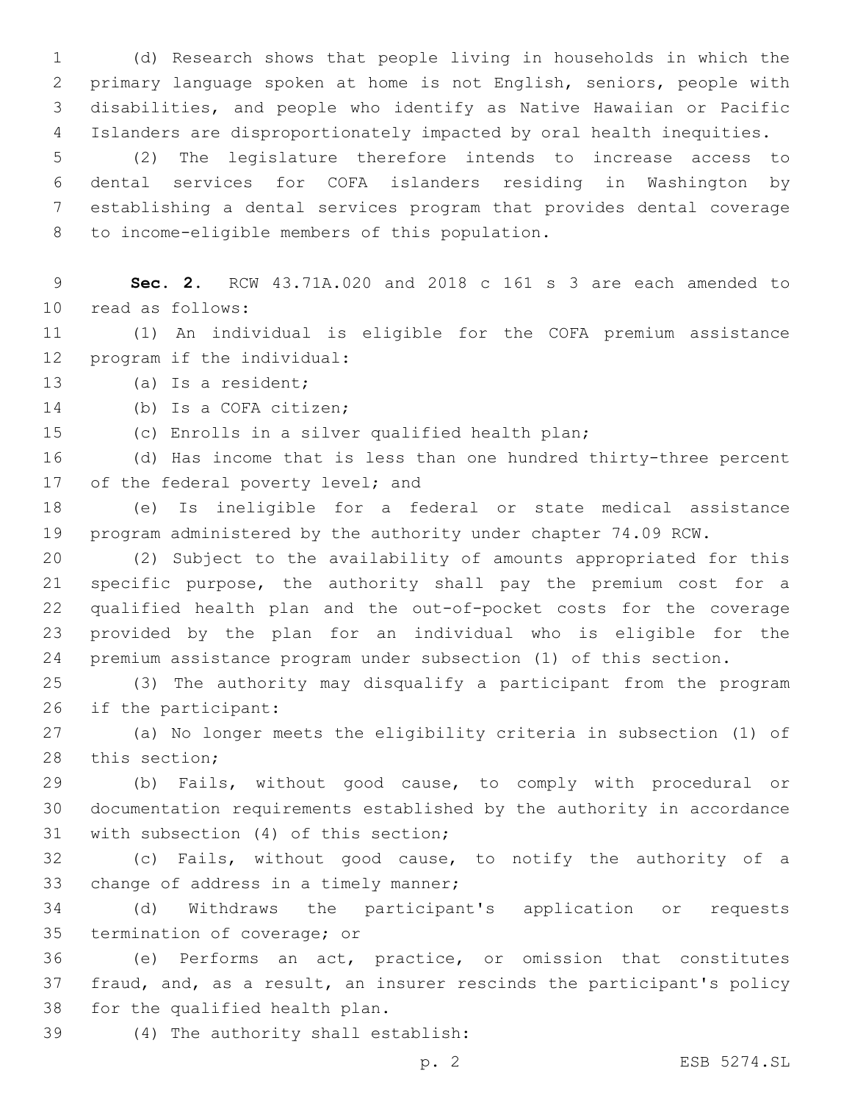(d) Research shows that people living in households in which the primary language spoken at home is not English, seniors, people with disabilities, and people who identify as Native Hawaiian or Pacific Islanders are disproportionately impacted by oral health inequities.

 (2) The legislature therefore intends to increase access to dental services for COFA islanders residing in Washington by establishing a dental services program that provides dental coverage 8 to income-eligible members of this population.

 **Sec. 2.** RCW 43.71A.020 and 2018 c 161 s 3 are each amended to 10 read as follows:

 (1) An individual is eligible for the COFA premium assistance 12 program if the individual:

13 (a) Is a resident;

14 (b) Is a COFA citizen;

(c) Enrolls in a silver qualified health plan;

 (d) Has income that is less than one hundred thirty-three percent 17 of the federal poverty level; and

 (e) Is ineligible for a federal or state medical assistance program administered by the authority under chapter 74.09 RCW.

 (2) Subject to the availability of amounts appropriated for this specific purpose, the authority shall pay the premium cost for a qualified health plan and the out-of-pocket costs for the coverage provided by the plan for an individual who is eligible for the premium assistance program under subsection (1) of this section.

 (3) The authority may disqualify a participant from the program 26 if the participant:

 (a) No longer meets the eligibility criteria in subsection (1) of 28 this section;

 (b) Fails, without good cause, to comply with procedural or documentation requirements established by the authority in accordance 31 with subsection (4) of this section;

 (c) Fails, without good cause, to notify the authority of a 33 change of address in a timely manner;

 (d) Withdraws the participant's application or requests 35 termination of coverage; or

 (e) Performs an act, practice, or omission that constitutes fraud, and, as a result, an insurer rescinds the participant's policy 38 for the qualified health plan.

(4) The authority shall establish:39

p. 2 ESB 5274.SL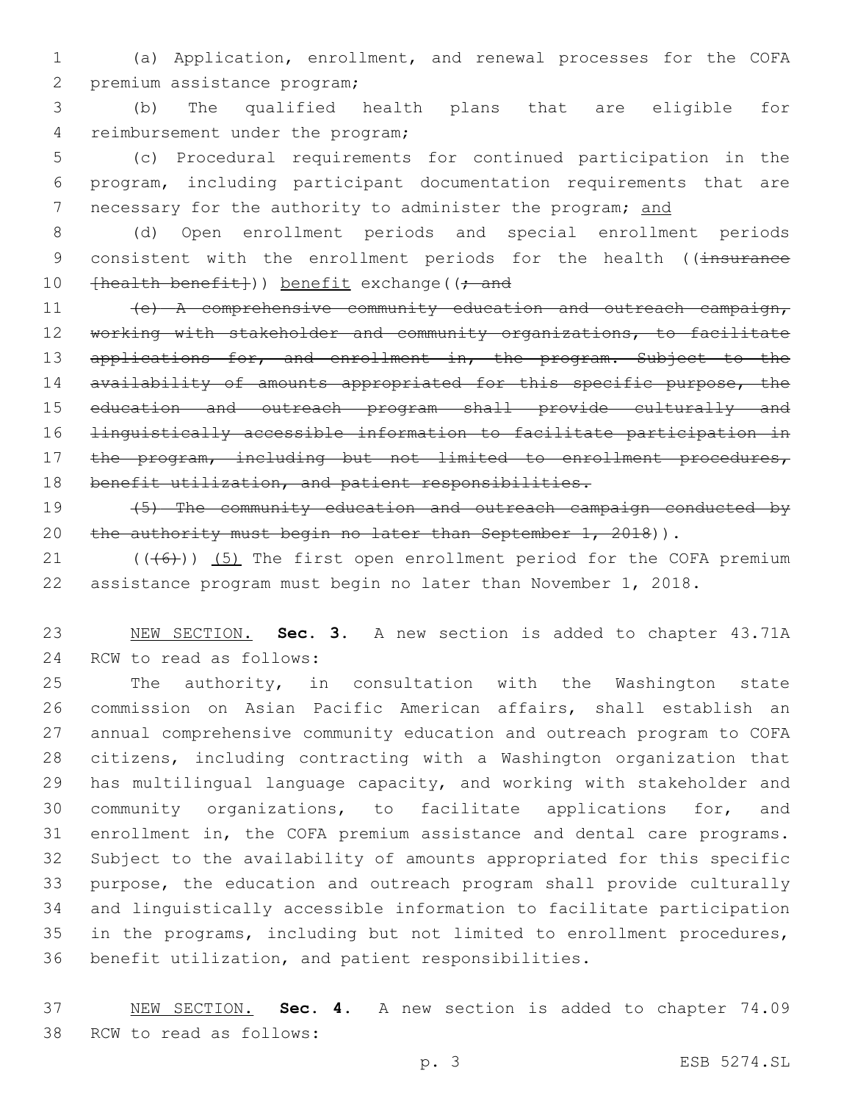1 (a) Application, enrollment, and renewal processes for the COFA 2 premium assistance program;

3 (b) The qualified health plans that are eligible for 4 reimbursement under the program;

5 (c) Procedural requirements for continued participation in the 6 program, including participant documentation requirements that are 7 necessary for the authority to administer the program; and

8 (d) Open enrollment periods and special enrollment periods 9 consistent with the enrollment periods for the health ((insurance 10 [health benefit])) benefit exchange((; and

11 (e) A comprehensive community education and outreach campaign, 12 working with stakeholder and community organizations, to facilitate 13 applications for, and enrollment in, the program. Subject to the 14 availability of amounts appropriated for this specific purpose, the 15 education and outreach program shall provide culturally and 16 linguistically accessible information to facilitate participation in 17 the program, including but not limited to enrollment procedures, 18 benefit utilization, and patient responsibilities.

19 (5) The community education and outreach campaign conducted by 20 the authority must begin no later than September 1, 2018)).

21  $((+6)$ ) (5) The first open enrollment period for the COFA premium 22 assistance program must begin no later than November 1, 2018.

23 NEW SECTION. **Sec. 3.** A new section is added to chapter 43.71A 24 RCW to read as follows:

 The authority, in consultation with the Washington state commission on Asian Pacific American affairs, shall establish an annual comprehensive community education and outreach program to COFA citizens, including contracting with a Washington organization that has multilingual language capacity, and working with stakeholder and community organizations, to facilitate applications for, and enrollment in, the COFA premium assistance and dental care programs. Subject to the availability of amounts appropriated for this specific purpose, the education and outreach program shall provide culturally and linguistically accessible information to facilitate participation in the programs, including but not limited to enrollment procedures, benefit utilization, and patient responsibilities.

37 NEW SECTION. **Sec. 4.** A new section is added to chapter 74.09 38 RCW to read as follows: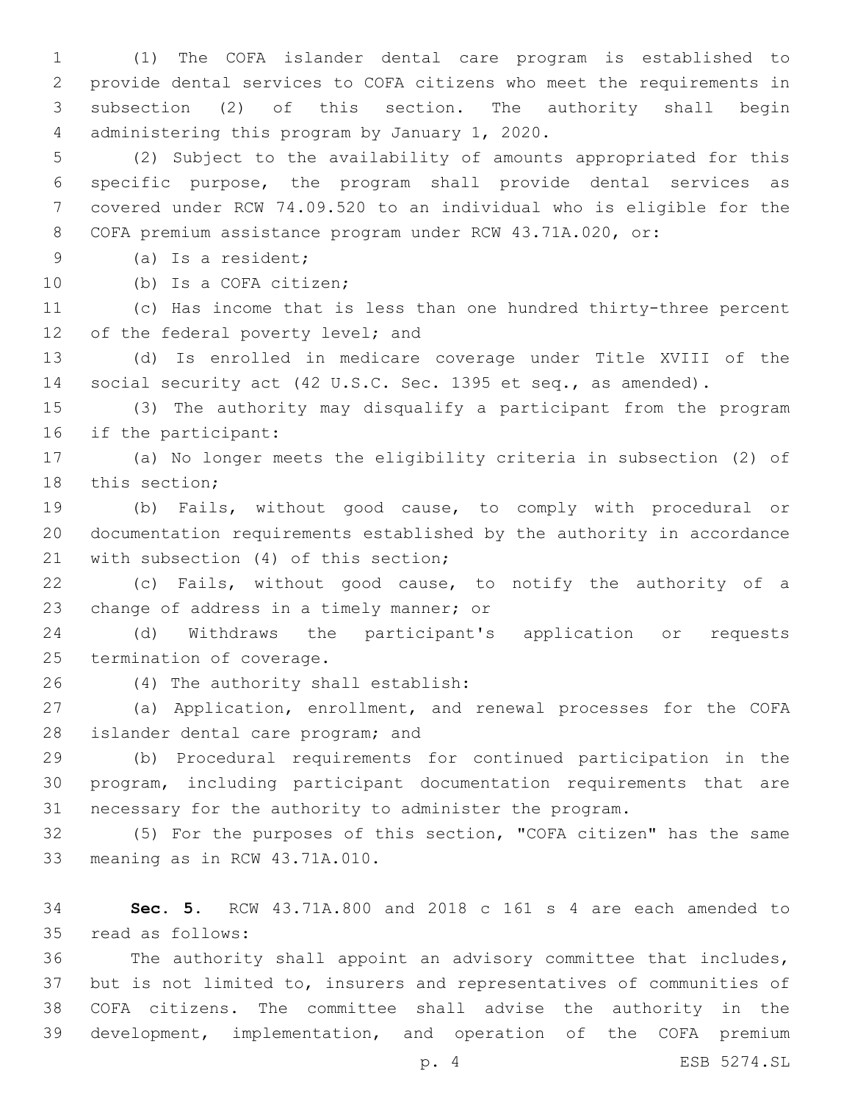(1) The COFA islander dental care program is established to provide dental services to COFA citizens who meet the requirements in subsection (2) of this section. The authority shall begin 4 administering this program by January 1, 2020.

 (2) Subject to the availability of amounts appropriated for this specific purpose, the program shall provide dental services as covered under RCW 74.09.520 to an individual who is eligible for the COFA premium assistance program under RCW 43.71A.020, or:

9 (a) Is a resident;

10 (b) Is a COFA citizen;

 (c) Has income that is less than one hundred thirty-three percent 12 of the federal poverty level; and

 (d) Is enrolled in medicare coverage under Title XVIII of the social security act (42 U.S.C. Sec. 1395 et seq., as amended).

 (3) The authority may disqualify a participant from the program 16 if the participant:

 (a) No longer meets the eligibility criteria in subsection (2) of 18 this section;

 (b) Fails, without good cause, to comply with procedural or documentation requirements established by the authority in accordance 21 with subsection (4) of this section;

 (c) Fails, without good cause, to notify the authority of a 23 change of address in a timely manner; or

 (d) Withdraws the participant's application or requests 25 termination of coverage.

(4) The authority shall establish:26

 (a) Application, enrollment, and renewal processes for the COFA 28 islander dental care program; and

 (b) Procedural requirements for continued participation in the program, including participant documentation requirements that are necessary for the authority to administer the program.

 (5) For the purposes of this section, "COFA citizen" has the same 33 meaning as in RCW 43.71A.010.

 **Sec. 5.** RCW 43.71A.800 and 2018 c 161 s 4 are each amended to read as follows:35

 The authority shall appoint an advisory committee that includes, but is not limited to, insurers and representatives of communities of COFA citizens. The committee shall advise the authority in the development, implementation, and operation of the COFA premium